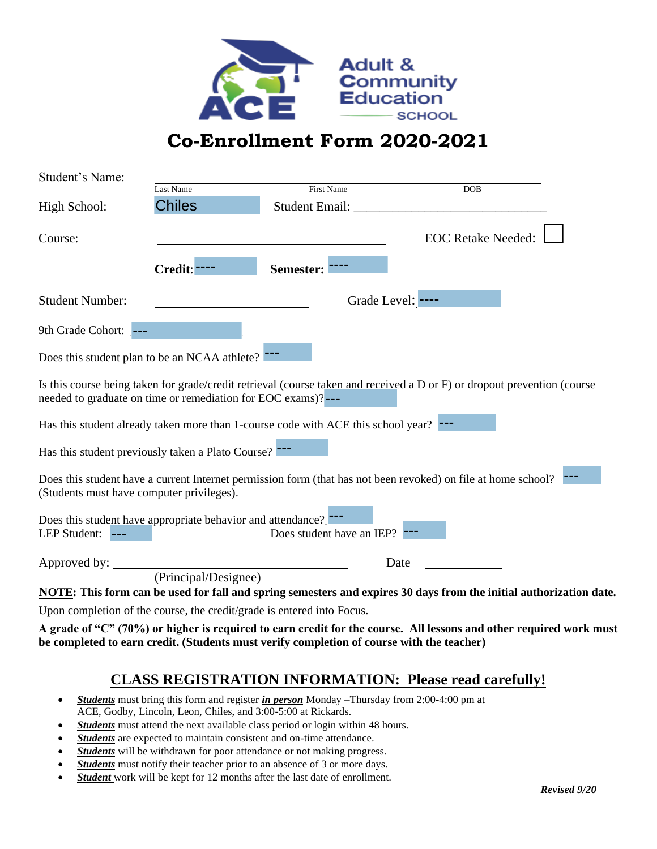

## **Co-Enrollment Form 2020-2021**

| Student's Name:                           |                                                              |                                                                                   |                                                                                                                          |
|-------------------------------------------|--------------------------------------------------------------|-----------------------------------------------------------------------------------|--------------------------------------------------------------------------------------------------------------------------|
|                                           | Last Name                                                    | <b>First Name</b>                                                                 | <b>DOB</b>                                                                                                               |
| High School:                              | <b>Chiles</b>                                                | Student Email:                                                                    |                                                                                                                          |
| Course:                                   | Credit:                                                      | Semester:                                                                         | <b>EOC Retake Needed:</b>                                                                                                |
| <b>Student Number:</b>                    |                                                              |                                                                                   | Grade Level: ----                                                                                                        |
| 9th Grade Cohort:                         |                                                              |                                                                                   |                                                                                                                          |
|                                           | Does this student plan to be an NCAA athlete?                |                                                                                   |                                                                                                                          |
|                                           | needed to graduate on time or remediation for EOC exams)?--- |                                                                                   | Is this course being taken for grade/credit retrieval (course taken and received a D or F) or dropout prevention (course |
|                                           |                                                              | Has this student already taken more than 1-course code with ACE this school year? |                                                                                                                          |
|                                           | Has this student previously taken a Plato Course?            |                                                                                   |                                                                                                                          |
| (Students must have computer privileges). |                                                              |                                                                                   | Does this student have a current Internet permission form (that has not been revoked) on file at home school?            |
| LEP Student: ---                          | Does this student have appropriate behavior and attendance?  | Does student have an IEP?                                                         |                                                                                                                          |
| Approved by:                              |                                                              |                                                                                   | Date                                                                                                                     |
|                                           | (Principal/Designee)                                         |                                                                                   |                                                                                                                          |
|                                           |                                                              |                                                                                   | NOTE: This form can be used for fall and spring semesters and expires 30 days from the initial authorization date.       |
|                                           |                                                              | Upon completion of the course, the credit/grade is entered into Focus.            |                                                                                                                          |

**A grade of "C" (70%) or higher is required to earn credit for the course. All lessons and other required work must be completed to earn credit. (Students must verify completion of course with the teacher)**

## **CLASS REGISTRATION INFORMATION: Please read carefully!**

- *Students* must bring this form and register *in person* Monday –Thursday from 2:00-4:00 pm at ACE, Godby, Lincoln, Leon, Chiles, and 3:00-5:00 at Rickards.
- *Students* must attend the next available class period or login within 48 hours.
- *Students* are expected to maintain consistent and on-time attendance.
- *Students* will be withdrawn for poor attendance or not making progress.
- *Students* must notify their teacher prior to an absence of 3 or more days.
- *Student* work will be kept for 12 months after the last date of enrollment.